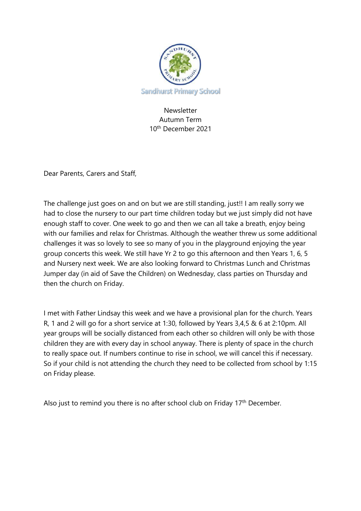

Newsletter Autumn Term 10th December 2021

Dear Parents, Carers and Staff,

The challenge just goes on and on but we are still standing, just!! I am really sorry we had to close the nursery to our part time children today but we just simply did not have enough staff to cover. One week to go and then we can all take a breath, enjoy being with our families and relax for Christmas. Although the weather threw us some additional challenges it was so lovely to see so many of you in the playground enjoying the year group concerts this week. We still have Yr 2 to go this afternoon and then Years 1, 6, 5 and Nursery next week. We are also looking forward to Christmas Lunch and Christmas Jumper day (in aid of Save the Children) on Wednesday, class parties on Thursday and then the church on Friday.

I met with Father Lindsay this week and we have a provisional plan for the church. Years R, 1 and 2 will go for a short service at 1:30, followed by Years 3,4,5 & 6 at 2:10pm. All year groups will be socially distanced from each other so children will only be with those children they are with every day in school anyway. There is plenty of space in the church to really space out. If numbers continue to rise in school, we will cancel this if necessary. So if your child is not attending the church they need to be collected from school by 1:15 on Friday please.

Also just to remind you there is no after school club on Friday  $17<sup>th</sup>$  December.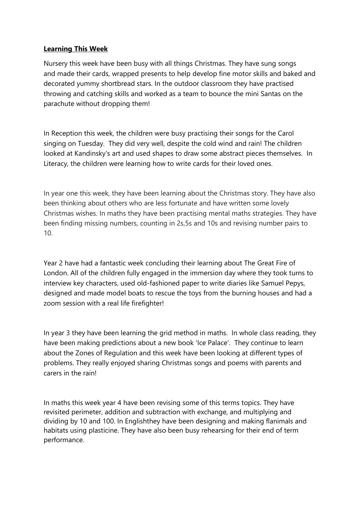## **Learning This Week**

Nursery this week have been busy with all things Christmas. They have sung songs and made their cards, wrapped presents to help develop fine motor skills and baked and decorated yummy shortbread stars. In the outdoor classroom they have practised throwing and catching skills and worked as a team to bounce the mini Santas on the parachute without dropping them!

In Reception this week, the children were busy practising their songs for the Carol singing on Tuesday. They did very well, despite the cold wind and rain! The children looked at Kandinsky's art and used shapes to draw some abstract pieces themselves. In Literacy, the children were learning how to write cards for their loved ones.

In year one this week, they have been learning about the Christmas story. They have also been thinking about others who are less fortunate and have written some lovely Christmas wishes. In maths they have been practising mental maths strategies. They have been finding missing numbers, counting in 2s,5s and 10s and revising number pairs to 10.

Year 2 have had a fantastic week concluding their learning about The Great Fire of London. All of the children fully engaged in the immersion day where they took turns to interview key characters, used old-fashioned paper to write diaries like Samuel Pepys, designed and made model boats to rescue the toys from the burning houses and had a zoom session with a real life firefighter!

In year 3 they have been learning the grid method in maths. In whole class reading, they have been making predictions about a new book 'Ice Palace'. They continue to learn about the Zones of Regulation and this week have been looking at different types of problems. They really enjoyed sharing Christmas songs and poems with parents and carers in the rain!

In maths this week year 4 have been revising some of this terms topics. They have revisited perimeter, addition and subtraction with exchange, and multiplying and dividing by 10 and 100. In Englishthey have been designing and making flanimals and habitats using plasticine. They have also been busy rehearsing for their end of term performance.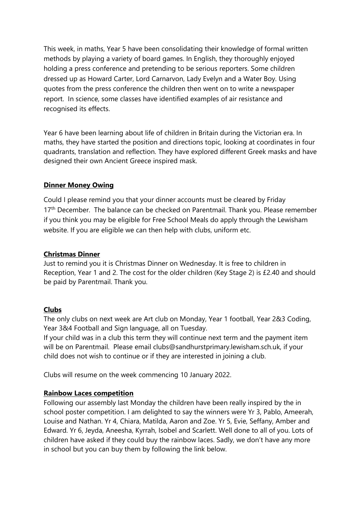This week, in maths, Year 5 have been consolidating their knowledge of formal written methods by playing a variety of board games. In English, they thoroughly enjoyed holding a press conference and pretending to be serious reporters. Some children dressed up as Howard Carter, Lord Carnarvon, Lady Evelyn and a Water Boy. Using quotes from the press conference the children then went on to write a newspaper report. In science, some classes have identified examples of air resistance and recognised its effects.

Year 6 have been learning about life of children in Britain during the Victorian era. In maths, they have started the position and directions topic, looking at coordinates in four quadrants, translation and reflection. They have explored different Greek masks and have designed their own Ancient Greece inspired mask.

## **Dinner Money Owing**

Could I please remind you that your dinner accounts must be cleared by Friday 17<sup>th</sup> December. The balance can be checked on Parentmail. Thank you. Please remember if you think you may be eligible for Free School Meals do apply through the Lewisham website. If you are eligible we can then help with clubs, uniform etc.

## **Christmas Dinner**

Just to remind you it is Christmas Dinner on Wednesday. It is free to children in Reception, Year 1 and 2. The cost for the older children (Key Stage 2) is £2.40 and should be paid by Parentmail. Thank you.

#### **Clubs**

The only clubs on next week are Art club on Monday, Year 1 football, Year 2&3 Coding, Year 3&4 Football and Sign language, all on Tuesday.

If your child was in a club this term they will continue next term and the payment item will be on Parentmail. Please email clubs@sandhurstprimary.lewisham.sch.uk, if your child does not wish to continue or if they are interested in joining a club.

Clubs will resume on the week commencing 10 January 2022.

# **Rainbow Laces competition**

Following our assembly last Monday the children have been really inspired by the in school poster competition. I am delighted to say the winners were Yr 3, Pablo, Ameerah, Louise and Nathan. Yr 4, Chiara, Matilda, Aaron and Zoe. Yr 5, Evie, Seffany, Amber and Edward. Yr 6, Jeyda, Aneesha, Kyrrah, Isobel and Scarlett. Well done to all of you. Lots of children have asked if they could buy the rainbow laces. Sadly, we don't have any more in school but you can buy them by following the link below.